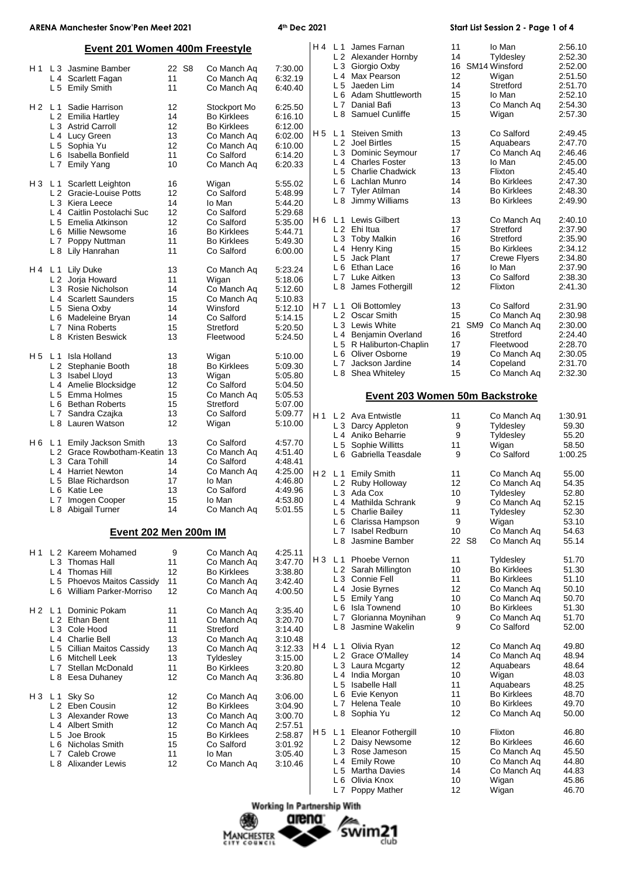# **ARENA Manchester Snow'Pen Meet 2021 4th Dec 2021 Start List Session 2 - Page 1 of 4**

| Event 201 Women 400m Freestyle |                |                                                                 |          |                                   |                    |                | H 4 L 1 James Farnan<br>L 2 Alexander Hornby | 11<br>14                             |          | Io Man<br>Tyldesley | 2:56.10<br>2:52.30                       |                    |
|--------------------------------|----------------|-----------------------------------------------------------------|----------|-----------------------------------|--------------------|----------------|----------------------------------------------|--------------------------------------|----------|---------------------|------------------------------------------|--------------------|
| H 1                            | L <sub>3</sub> | Jasmine Bamber                                                  | 22 S8    | Co Manch Ag                       | 7:30.00            |                |                                              | L 3 Giorgio Oxby                     | 16       |                     | SM14 Winsford                            | 2:52.00            |
|                                |                | L 4 Scarlett Fagan                                              | 11       | Co Manch Aq                       | 6:32.19            |                | L <sub>4</sub>                               | Max Pearson                          | 12       |                     | Wigan                                    | 2:51.50            |
|                                | L <sub>5</sub> | <b>Emily Smith</b>                                              | 11       | Co Manch Aq                       | 6:40.40            |                | L <sub>5</sub>                               | Jaeden Lim                           | 14       |                     | Stretford                                | 2:51.70            |
|                                |                |                                                                 |          |                                   |                    |                | L <sub>6</sub>                               | <b>Adam Shuttleworth</b>             | 15       |                     | lo Man                                   | 2:52.10            |
| H2 L1                          |                | Sadie Harrison                                                  | 12       | Stockport Mo                      | 6:25.50            |                | L7                                           | Danial Bafi                          | 13       |                     | Co Manch Aq                              | 2:54.30            |
|                                |                | L 2 Emilia Hartley                                              | 14       | <b>Bo Kirklees</b>                | 6:16.10            |                | L8                                           | Samuel Cunliffe                      | 15       |                     | Wigan                                    | 2:57.30            |
|                                |                | L 3 Astrid Carroll                                              | 12       | <b>Bo Kirklees</b>                | 6:12.00            |                |                                              |                                      |          |                     |                                          |                    |
|                                |                | L 4 Lucy Green                                                  | 13       | Co Manch Ag                       | 6:02.00            | H 5            | L 1                                          | Steiven Smith                        | 13       |                     | Co Salford                               | 2:49.45            |
|                                |                | L 5 Sophia Yu                                                   | 12       | Co Manch Ag                       | 6:10.00            |                |                                              | L 2 Joel Birtles                     | 15       |                     | Aquabears                                | 2:47.70            |
|                                | L <sub>6</sub> | Isabella Bonfield                                               | 11       | Co Salford                        | 6:14.20            |                | L <sub>3</sub>                               | Dominic Seymour                      | 17       |                     | Co Manch Aq                              | 2:46.46            |
|                                | L <sub>7</sub> | <b>Emily Yang</b>                                               | 10       | Co Manch Aq                       | 6:20.33            |                | L4                                           | <b>Charles Foster</b>                | 13       |                     | lo Man                                   | 2:45.00            |
|                                |                |                                                                 |          |                                   |                    |                |                                              | L 5 Charlie Chadwick                 | 13       |                     | Flixton                                  | 2:45.40            |
| H3 L1                          |                | Scarlett Leighton                                               | 16       | Wigan                             | 5:55.02            |                | L 6                                          | Lachlan Munro                        | 14<br>14 |                     | <b>Bo Kirklees</b>                       | 2:47.30            |
|                                |                | L 2 Gracie-Louise Potts                                         | 12       | Co Salford                        | 5:48.99            |                | L 8                                          | L 7 Tyler Atilman<br>Jimmy Williams  | 13       |                     | <b>Bo Kirklees</b><br><b>Bo Kirklees</b> | 2:48.30<br>2:49.90 |
|                                |                | L 3 Kiera Leece                                                 | 14       | lo Man                            | 5:44.20            |                |                                              |                                      |          |                     |                                          |                    |
|                                | $L_4$          | Caitlin Postolachi Suc                                          | 12       | Co Salford                        | 5:29.68            | H 6            |                                              | L <sub>1</sub> Lewis Gilbert         | 13       |                     | Co Manch Aq                              | 2:40.10            |
|                                |                | L 5 Emelia Atkinson                                             | 12       | Co Salford                        | 5:35.00            |                |                                              | L 2 Ehi Itua                         | 17       |                     | Stretford                                | 2:37.90            |
|                                | L 6<br>L7      | Millie Newsome                                                  | 16<br>11 | <b>Bo Kirklees</b>                | 5:44.71            |                |                                              | L 3 Toby Malkin                      | 16       |                     | Stretford                                | 2:35.90            |
|                                |                | Poppy Nuttman<br>L 8 Lily Hanrahan                              | 11       | <b>Bo Kirklees</b><br>Co Salford  | 5:49.30<br>6:00.00 |                |                                              | L 4 Henry King                       | 15       |                     | <b>Bo Kirklees</b>                       | 2:34.12            |
|                                |                |                                                                 |          |                                   |                    |                | L <sub>5</sub>                               | Jack Plant                           | 17       |                     | Crewe Flyers                             | 2:34.80            |
| H4 L1                          |                | Lily Duke                                                       | 13       | Co Manch Aq                       | 5:23.24            |                | L <sub>6</sub>                               | Ethan Lace                           | 16       |                     | lo Man                                   | 2:37.90            |
|                                |                | L 2 Jorja Howard                                                | 11       | Wigan                             | 5:18.06            |                |                                              | L 7 Luke Aitken                      | 13       |                     | Co Salford                               | 2:38.30            |
|                                |                | L <sub>3</sub> Rosie Nicholson                                  | 14       | Co Manch Aq                       | 5:12.60            |                | L 8                                          | James Fothergill                     | 12       |                     | Flixton                                  | 2:41.30            |
|                                |                | L <sub>4</sub> Scarlett Saunders                                | 15       | Co Manch Aq                       | 5:10.83            |                |                                              |                                      |          |                     |                                          |                    |
|                                |                | L 5 Siena Oxby                                                  | 14       | Winsford                          | 5:12.10            | H 7            | L <sub>1</sub>                               | Oli Bottomley                        | 13       |                     | Co Salford                               | 2:31.90            |
|                                | L 6            | Madeleine Bryan                                                 | 14       | Co Salford                        | 5:14.15            |                |                                              | L 2 Oscar Smith                      | 15       |                     | Co Manch Aq                              | 2:30.98            |
|                                | L <sub>7</sub> | Nina Roberts                                                    | 15       | Stretford                         | 5:20.50            |                |                                              | L 3 Lewis White                      | 21       | SM <sub>9</sub>     | Co Manch Aq                              | 2:30.00            |
|                                | L 8            | Kristen Beswick                                                 | 13       | Fleetwood                         | 5:24.50            |                | L4                                           | Benjamin Overland                    | 16       |                     | Stretford                                | 2:24.40            |
|                                |                |                                                                 |          |                                   |                    |                | L <sub>5</sub>                               | R Haliburton-Chaplin                 | 17       |                     | Fleetwood                                | 2:28.70            |
| H 5                            | L <sub>1</sub> | Isla Holland                                                    | 13       | Wigan                             | 5:10.00            |                |                                              | L 6 Oliver Osborne                   | 19       |                     | Co Manch Aq                              | 2:30.05            |
|                                |                | L 2 Stephanie Booth                                             | 18       | <b>Bo Kirklees</b>                | 5:09.30            |                | L7                                           | Jackson Jardine                      | 14       |                     | Copeland                                 | 2:31.70            |
|                                | L <sub>3</sub> | Isabel Lloyd                                                    | 13       | Wigan                             | 5:05.80            |                |                                              | L 8 Shea Whiteley                    | 15       |                     | Co Manch Aq                              | 2:32.30            |
|                                |                | L 4 Amelie Blocksidge                                           | 12       | Co Salford                        | 5:04.50            |                |                                              |                                      |          |                     |                                          |                    |
|                                | L <sub>5</sub> | Emma Holmes                                                     | 15       | Co Manch Aq                       | 5:05.53            |                |                                              | Event 203 Women 50m Backstroke       |          |                     |                                          |                    |
|                                |                | L 6 Bethan Roberts                                              | 15       | Stretford                         | 5:07.00            |                |                                              |                                      |          |                     |                                          |                    |
|                                | L <sub>7</sub> | Sandra Czajka<br>L 8 Lauren Watson                              | 13<br>12 | Co Salford                        | 5:09.77            | H1             |                                              | L 2 Ava Entwistle                    | 11       |                     | Co Manch Aq                              | 1:30.91            |
|                                |                |                                                                 |          | Wigan                             | 5:10.00            |                | L <sub>3</sub>                               | Darcy Appleton                       | 9        |                     | Tyldesley                                | 59.30              |
|                                |                |                                                                 |          |                                   |                    |                |                                              |                                      |          |                     |                                          |                    |
|                                |                |                                                                 |          |                                   |                    |                |                                              | L <sub>4</sub> Aniko Beharrie        | 9        |                     | Tyldesley                                | 55.20              |
| H6 L1                          |                | Emily Jackson Smith                                             | 13       | Co Salford                        | 4:57.70            |                | L <sub>5</sub>                               | Sophie Willitts                      | 11       |                     | Wigan                                    | 58.50              |
|                                |                | L 2 Grace Rowbotham-Keatin 13                                   |          | Co Manch Ag                       | 4:51.40            |                | L 6                                          | Gabriella Teasdale                   | 9        |                     | Co Salford                               | 1:00.25            |
|                                |                | L 3 Cara Tohill                                                 | 14       | Co Salford                        | 4:48.41            |                |                                              |                                      |          |                     |                                          |                    |
|                                | L <sub>5</sub> | L <sub>4</sub> Harriet Newton                                   | 14       | Co Manch Aq                       | 4:25.00            | H 2            | L 1                                          | <b>Emily Smith</b>                   | 11       |                     | Co Manch Aq                              | 55.00              |
|                                | L 6            | <b>Blae Richardson</b><br>Katie Lee                             | 17<br>13 | lo Man<br>Co Salford              | 4:46.80<br>4:49.96 |                |                                              | L 2 Ruby Holloway                    | 12       |                     | Co Manch Aq                              | 54.35              |
|                                | L <sub>7</sub> | Imogen Cooper                                                   | 15       | lo Man                            | 4:53.80            |                |                                              | L 3 Ada Cox                          | 10<br>9  |                     | Tyldesley                                | 52.80              |
|                                | L8             | Abigail Turner                                                  | 14       | Co Manch Aq                       | 5:01.55            |                |                                              | L <sub>4</sub> Mathilda Schrank      |          |                     | Co Manch Aq                              | 52.15              |
|                                |                |                                                                 |          |                                   |                    |                | L 5                                          | <b>Charlie Bailey</b>                | 11       |                     | Tyldesley                                | 52.30              |
|                                |                |                                                                 |          |                                   |                    |                | L 6<br>L <sub>7</sub>                        | Clarissa Hampson<br>Isabel Redburn   | 9<br>10  |                     | Wigan<br>Co Manch Aq                     | 53.10<br>54.63     |
|                                |                | Event 202 Men 200m IM                                           |          |                                   |                    |                | L 8                                          | Jasmine Bamber                       |          | 22 S <sub>8</sub>   | Co Manch Aq                              | 55.14              |
|                                |                |                                                                 |          |                                   |                    |                |                                              |                                      |          |                     |                                          |                    |
|                                |                | H <sub>1</sub> L <sub>2</sub> Kareem Mohamed<br>L 3 Thomas Hall | 9<br>11  | Co Manch Aq<br>Co Manch Ag        | 4:25.11<br>3:47.70 | H <sub>3</sub> | L <sub>1</sub>                               | Phoebe Vernon                        | 11       |                     | Tyldesley                                | 51.70              |
|                                |                | L 4 Thomas Hill                                                 | 12       | <b>Bo Kirklees</b>                | 3:38.80            |                |                                              | L 2 Sarah Millington                 | 10       |                     | <b>Bo Kirklees</b>                       | 51.30              |
|                                | L <sub>5</sub> | Phoevos Maitos Cassidy                                          | 11       | Co Manch Aq                       | 3:42.40            |                |                                              | L 3 Connie Fell                      | 11       |                     | <b>Bo Kirklees</b>                       | 51.10              |
|                                |                | L 6 William Parker-Morriso                                      | 12       | Co Manch Aq                       | 4:00.50            |                | L 4                                          | Josie Byrnes                         | 12       |                     | Co Manch Aq                              | 50.10              |
|                                |                |                                                                 |          |                                   |                    |                |                                              | L 5 Emily Yang                       | 10       |                     | Co Manch Ag                              | 50.70              |
| H2 L1                          |                | Dominic Pokam                                                   | 11       | Co Manch Aq                       | 3:35.40            |                | L 6                                          | Isla Townend                         | 10       |                     | <b>Bo Kirklees</b>                       | 51.30              |
|                                |                | L 2 Ethan Bent                                                  | 11       | Co Manch Aq                       | 3:20.70            |                | L7                                           | Glorianna Moynihan                   | 9        |                     | Co Manch Aq                              | 51.70              |
|                                |                | L <sub>3</sub> Cole Hood                                        | 11       | Stretford                         | 3:14.40            |                | L 8                                          | Jasmine Wakelin                      | 9        |                     | Co Salford                               | 52.00              |
|                                |                | L 4 Charlie Bell                                                | 13       | Co Manch Aq                       | 3:10.48            |                |                                              |                                      |          |                     |                                          |                    |
|                                | L <sub>5</sub> | Cillian Maitos Cassidy                                          | 13       | Co Manch Aq                       | 3:12.33            | H 4            | L <sub>1</sub>                               | Olivia Ryan                          | 12       |                     | Co Manch Aq                              | 49.80              |
|                                | L 6            | <b>Mitchell Leek</b>                                            | 13       | Tyldesley                         | 3:15.00            |                |                                              | L 2 Grace O'Malley                   | 14       |                     | Co Manch Aq                              | 48.94              |
|                                | L <sub>7</sub> | Stellan McDonald                                                | 11       | <b>Bo Kirklees</b>                | 3:20.80            |                |                                              | L 3 Laura Mcgarty                    | 12<br>10 |                     | Aquabears                                | 48.64              |
|                                | L 8            | Eesa Duhaney                                                    | 12       | Co Manch Aq                       | 3:36.80            |                | L <sub>4</sub><br>L <sub>5</sub>             | India Morgan<br><b>Isabelle Hall</b> | 11       |                     | Wigan<br>Aquabears                       | 48.03              |
|                                |                |                                                                 |          |                                   |                    |                | L 6                                          | Evie Kenyon                          | 11       |                     | <b>Bo Kirklees</b>                       | 48.25<br>48.70     |
|                                |                | H3 L1 Sky So                                                    | 12       | Co Manch Aq                       | 3:06.00            |                |                                              | L 7 Helena Teale                     | 10       |                     | <b>Bo Kirklees</b>                       | 49.70              |
|                                | L <sub>2</sub> | Eben Cousin                                                     | 12       | <b>Bo Kirklees</b>                | 3:04.90            |                |                                              | L 8 Sophia Yu                        | 12       |                     | Co Manch Aq                              | 50.00              |
|                                | L <sub>4</sub> | L <sub>3</sub> Alexander Rowe                                   | 13       | Co Manch Aq                       | 3:00.70            |                |                                              |                                      |          |                     |                                          |                    |
|                                | L <sub>5</sub> | <b>Albert Smith</b><br>Joe Brook                                | 12<br>15 | Co Manch Aq<br><b>Bo Kirklees</b> | 2:57.51<br>2:58.87 | H 5            | L <sub>1</sub>                               | <b>Eleanor Fothergill</b>            | 10       |                     | Flixton                                  | 46.80              |
|                                | L 6            | Nicholas Smith                                                  | 15       | Co Salford                        | 3:01.92            |                |                                              | L 2 Daisy Newsome                    | 12       |                     | <b>Bo Kirklees</b>                       | 46.60              |
|                                | L <sub>7</sub> | <b>Caleb Crowe</b>                                              | 11       | lo Man                            | 3:05.40            |                | L <sub>3</sub>                               | Rose Jameson                         | 15       |                     | Co Manch Aq                              | 45.50              |
|                                | L 8            | <b>Alixander Lewis</b>                                          | 12       | Co Manch Aq                       | 3:10.46            |                | L4                                           | <b>Emily Rowe</b>                    | 10       |                     | Co Manch Aq                              | 44.80              |
|                                |                |                                                                 |          |                                   |                    |                | L <sub>5</sub>                               | <b>Martha Davies</b>                 | 14       |                     | Co Manch Aq                              | 44.83              |
|                                |                |                                                                 |          |                                   |                    |                | L 6                                          | Olivia Knox<br>L 7 Poppy Mather      | 10<br>12 |                     | Wigan<br>Wigan                           | 45.86<br>46.70     |

Working In Partnership With



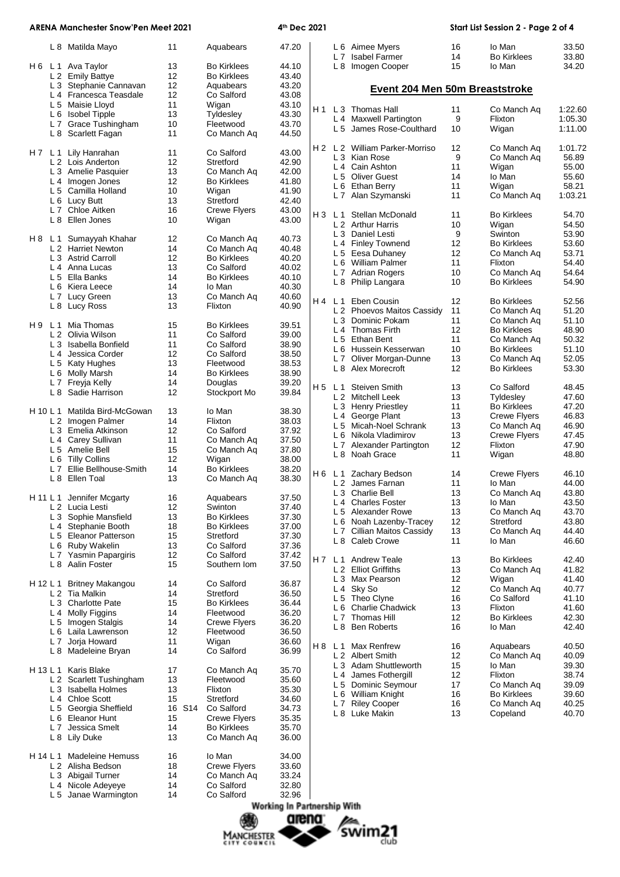|          |                       | <b>ARENA Manchester Snow'Pen Meet 2021</b>   |          |                                          | 4 <sup>th</sup> Dec 2021 |     |                |                                                     |          | Start List Session 2 - Page 2 of 4 |                |
|----------|-----------------------|----------------------------------------------|----------|------------------------------------------|--------------------------|-----|----------------|-----------------------------------------------------|----------|------------------------------------|----------------|
|          |                       | L 8 Matilda Mayo                             | 11       | Aquabears                                | 47.20                    |     |                | L 6 Aimee Myers                                     | 16       | lo Man                             | 33.50          |
|          |                       |                                              |          |                                          |                          |     | L <sub>7</sub> | <b>Isabel Farmer</b>                                | 14<br>15 | <b>Bo Kirklees</b>                 | 33.80<br>34.20 |
|          |                       | H 6 L 1 Ava Taylor<br>L 2 Emily Battye       | 13<br>12 | <b>Bo Kirklees</b><br><b>Bo Kirklees</b> | 44.10<br>43.40           |     |                | L 8 Imogen Cooper                                   |          | lo Man                             |                |
|          |                       | L 3 Stephanie Cannavan                       | 12       | Aquabears                                | 43.20                    |     |                |                                                     |          |                                    |                |
|          |                       | L 4 Francesca Teasdale                       | 12       | Co Salford                               | 43.08                    |     |                | Event 204 Men 50m Breaststroke                      |          |                                    |                |
|          |                       | L 5 Maisie Lloyd                             | 11       | Wigan                                    | 43.10                    |     |                |                                                     |          |                                    |                |
|          |                       | L 6 Isobel Tipple                            | 13       | Tyldesley                                | 43.30                    | H 1 |                | L 3 Thomas Hall                                     | 11       | Co Manch Ag                        | 1:22.60        |
|          |                       | L 7 Grace Tushingham                         | 10       | Fleetwood                                | 43.70                    |     |                | L 4 Maxwell Partington                              | 9        | Flixton                            | 1:05.30        |
|          |                       | L 8 Scarlett Fagan                           | 11       | Co Manch Aq                              | 44.50                    |     | L5             | James Rose-Coulthard                                | 10       | Wigan                              | 1:11.00        |
|          |                       | H 7 L 1 Lily Hanrahan                        | 11       | Co Salford                               | 43.00                    | H 2 |                | L 2 William Parker-Morriso                          | 12       | Co Manch Aq                        | 1:01.72        |
|          |                       | L 2 Lois Anderton                            | 12       | Stretford                                | 42.90                    |     |                | L 3 Kian Rose                                       | 9        | Co Manch Ag                        | 56.89          |
|          |                       | L 3 Amelie Pasquier                          | 13       | Co Manch Aq                              | 42.00                    |     |                | L <sub>4</sub> Cain Ashton<br>L 5 Oliver Guest      | 11<br>14 | Wigan<br>lo Man                    | 55.00<br>55.60 |
|          |                       | L 4 Imogen Jones                             | 12       | <b>Bo Kirklees</b>                       | 41.80                    |     | L 6            | Ethan Berry                                         | 11       | Wigan                              | 58.21          |
|          |                       | L 5 Camilla Holland                          | 10       | Wigan                                    | 41.90                    |     |                | L 7 Alan Szymanski                                  | 11       | Co Manch Aq                        | 1:03.21        |
|          |                       | L 6 Lucy Butt                                | 13       | Stretford                                | 42.40                    |     |                |                                                     |          |                                    |                |
|          |                       | L 7 Chloe Aitken                             | 16       | <b>Crewe Flyers</b>                      | 43.00                    |     | H3 L1          | Stellan McDonald                                    | 11       | <b>Bo Kirklees</b>                 | 54.70          |
|          |                       | L 8 Ellen Jones                              | 10       | Wigan                                    | 43.00                    |     |                | L 2 Arthur Harris                                   | 10       | Wigan                              | 54.50          |
|          |                       |                                              |          |                                          |                          |     |                | L 3 Daniel Lesti                                    | 9        | Swinton                            | 53.90          |
| H8 L1    |                       | Sumayyah Khahar                              | 12       | Co Manch Aq                              | 40.73                    |     |                | L 4 Finley Townend                                  | 12       | <b>Bo Kirklees</b>                 | 53.60          |
|          |                       | L 2 Harriet Newton<br>L 3 Astrid Carroll     | 14<br>12 | Co Manch Ag<br><b>Bo Kirklees</b>        | 40.48<br>40.20           |     |                | L 5 Eesa Duhaney                                    | 12       | Co Manch Aq                        | 53.71          |
|          |                       | L 4 Anna Lucas                               | 13       | Co Salford                               | 40.02                    |     |                | L 6 William Palmer                                  | 11       | Flixton                            | 54.40          |
|          |                       | L 5 Ella Banks                               | 14       | <b>Bo Kirklees</b>                       | 40.10                    |     |                | L 7 Adrian Rogers                                   | 10       | Co Manch Aq                        | 54.64          |
|          |                       | L 6 Kiera Leece                              | 14       | lo Man                                   | 40.30                    |     |                | L 8 Philip Langara                                  | 10       | <b>Bo Kirklees</b>                 | 54.90          |
|          |                       | L 7 Lucy Green                               | 13       | Co Manch Aq                              | 40.60                    |     |                |                                                     |          |                                    |                |
|          |                       | L 8 Lucy Ross                                | 13       | Flixton                                  | 40.90                    |     | H4 L1          | Eben Cousin                                         | 12       | Bo Kirklees                        | 52.56          |
|          |                       |                                              |          |                                          |                          |     |                | L 2 Phoevos Maitos Cassidy                          | 11       | Co Manch Aq                        | 51.20          |
| H 9      |                       | L 1 Mia Thomas                               | 15       | <b>Bo Kirklees</b>                       | 39.51                    |     |                | L 3 Dominic Pokam                                   | 11       | Co Manch Ag                        | 51.10          |
|          |                       | L 2 Olivia Wilson                            | 11       | Co Salford                               | 39.00                    |     |                | L <sub>4</sub> Thomas Firth                         | 12       | <b>Bo Kirklees</b>                 | 48.90          |
|          |                       | L 3 Isabella Bonfield                        | 11       | Co Salford                               | 38.90                    |     |                | L 5 Ethan Bent                                      | 11       | Co Manch Aq                        | 50.32          |
|          | L <sub>4</sub>        | Jessica Corder                               | 12       | Co Salford                               | 38.50                    |     |                | L 6 Hussein Kesserwan                               | 10<br>13 | <b>Bo Kirklees</b>                 | 51.10          |
|          |                       | L 5 Katy Hughes                              | 13       | Fleetwood                                | 38.53                    |     | L7<br>L 8      | Oliver Morgan-Dunne<br>Alex Morecroft               | 12       | Co Manch Aq<br><b>Bo Kirklees</b>  | 52.05<br>53.30 |
|          | L 6                   | Molly Marsh                                  | 14       | <b>Bo Kirklees</b>                       | 38.90                    |     |                |                                                     |          |                                    |                |
|          |                       | L 7 Freyja Kelly                             | 14       | Douglas                                  | 39.20                    | H 5 | L 1            | <b>Steiven Smith</b>                                | 13       | Co Salford                         | 48.45          |
|          | L 8                   | Sadie Harrison                               | 12       | Stockport Mo                             | 39.84                    |     |                | L 2 Mitchell Leek                                   | 13       | Tyldesley                          | 47.60          |
|          |                       |                                              |          |                                          |                          |     |                | L 3 Henry Priestley                                 | 11       | <b>Bo Kirklees</b>                 | 47.20          |
| H 10 L 1 |                       | Matilda Bird-McGowan                         | 13       | lo Man                                   | 38.30                    |     | $L_4$          | George Plant                                        | 13       | <b>Crewe Flyers</b>                | 46.83          |
|          |                       | L 2 Imogen Palmer                            | 14       | Flixton                                  | 38.03                    |     |                | L 5 Micah-Noel Schrank                              | 13       | Co Manch Aq                        | 46.90          |
|          |                       | L 3 Emelia Atkinson                          | 12       | Co Salford                               | 37.92                    |     |                | L 6 Nikola Vladimirov                               | 13       | Crewe Flyers                       | 47.45          |
|          |                       | L 4 Carey Sullivan                           | 11<br>15 | Co Manch Ag                              | 37.50                    |     |                | L 7 Alexander Partington                            | 12       | Flixton                            | 47.90          |
|          | L <sub>5</sub><br>L 6 | Amelie Bell<br><b>Tilly Collins</b>          | 12       | Co Manch Aq                              | 37.80<br>38.00           |     | L <sub>8</sub> | Noah Grace                                          | 11       | Wigan                              | 48.80          |
|          | L <sub>7</sub>        | Ellie Bellhouse-Smith                        | 14       | Wigan<br><b>Bo Kirklees</b>              | 38.20                    |     |                |                                                     |          |                                    |                |
|          |                       | L 8 Ellen Toal                               | 13       | Co Manch Ag                              | 38.30                    |     |                | H 6 L 1 Zachary Bedson                              | 14       | <b>Crewe Flyers</b>                | 46.10          |
|          |                       |                                              |          |                                          |                          |     |                | L 2 James Farnan                                    | 11       | lo Man                             | 44.00          |
|          |                       | H 11 L 1 Jennifer Mcgarty                    | 16       | Aquabears                                | 37.50                    |     |                | L 3 Charlie Bell                                    | 13       | Co Manch Aq                        | 43.80          |
|          |                       | L 2 Lucia Lesti                              | 12       | Swinton                                  | 37.40                    |     |                | L <sub>4</sub> Charles Foster                       | 13       | lo Man                             | 43.50          |
|          |                       | L 3 Sophie Mansfield                         | 13       | <b>Bo Kirklees</b>                       | 37.30                    |     |                | L 5 Alexander Rowe                                  | 13       | Co Manch Aq                        | 43.70          |
|          |                       | L 4 Stephanie Booth                          | 18       | <b>Bo Kirklees</b>                       | 37.00                    |     |                | L 6 Noah Lazenby-Tracey                             | 12       | Stretford                          | 43.80          |
|          |                       | L 5 Eleanor Patterson                        | 15       | Stretford                                | 37.30                    |     |                | L 7 Cillian Maitos Cassidy                          | 13       | Co Manch Aq                        | 44.40          |
|          |                       | L 6 Ruby Wakelin                             | 13       | Co Salford                               | 37.36                    |     |                | L 8 Caleb Crowe                                     | 11       | lo Man                             | 46.60          |
|          |                       | L 7 Yasmin Papargiris                        | 12       | Co Salford                               | 37.42                    |     |                |                                                     |          |                                    |                |
|          |                       | L 8 Aalin Foster                             | 15       | Southern Iom                             | 37.50                    | H 7 |                | L <sub>1</sub> Andrew Teale<br>L 2 Elliot Griffiths | 13<br>13 | <b>Bo Kirklees</b>                 | 42.40<br>41.82 |
|          |                       |                                              |          |                                          |                          |     |                | L 3 Max Pearson                                     | 12       | Co Manch Aq<br>Wigan               | 41.40          |
| H 12 L 1 |                       | <b>Britney Makangou</b>                      | 14       | Co Salford                               | 36.87                    |     |                | L 4 Sky So                                          | 12       | Co Manch Aq                        | 40.77          |
|          |                       | L 2 Tia Malkin                               | 14       | Stretford                                | 36.50                    |     |                | L 5 Theo Clyne                                      | 16       | Co Salford                         | 41.10          |
|          |                       | L 3 Charlotte Pate                           | 15       | <b>Bo Kirklees</b>                       | 36.44                    |     |                | L 6 Charlie Chadwick                                | 13       | Flixton                            | 41.60          |
|          | L 4                   | <b>Molly Figgins</b>                         | 14       | Fleetwood                                | 36.20                    |     | L <sub>7</sub> | <b>Thomas Hill</b>                                  | 12       | <b>Bo Kirklees</b>                 | 42.30          |
|          | L 5                   | Imogen Stalgis                               | 14       | <b>Crewe Flyers</b>                      | 36.20                    |     |                | L 8 Ben Roberts                                     | 16       | lo Man                             | 42.40          |
|          |                       | L 6 Laila Lawrenson                          | 12       | Fleetwood                                | 36.50                    |     |                |                                                     |          |                                    |                |
|          | L 7                   | Jorja Howard                                 | 11       | Wigan                                    | 36.60                    |     |                | H 8 L 1 Max Renfrew                                 | 16       | Aquabears                          | 40.50          |
|          |                       | L 8 Madeleine Bryan                          | 14       | Co Salford                               | 36.99                    |     |                | L 2 Albert Smith                                    | 12       | Co Manch Aq                        | 40.09          |
|          |                       | H 13 L 1 Karis Blake                         |          |                                          |                          |     |                | L 3 Adam Shuttleworth                               | 15       | lo Man                             | 39.30          |
|          |                       | L 2 Scarlett Tushingham                      | 17<br>13 | Co Manch Aq<br>Fleetwood                 | 35.70<br>35.60           |     |                | L 4 James Fothergill                                | 12       | Flixton                            | 38.74          |
|          |                       | L 3 Isabella Holmes                          | 13       | Flixton                                  | 35.30                    |     |                | L 5 Dominic Seymour                                 | 17       | Co Manch Aq                        | 39.09          |
|          |                       | L <sub>4</sub> Chloe Scott                   | 15       | Stretford                                | 34.60                    |     |                | L 6 William Knight                                  | 16       | <b>Bo Kirklees</b>                 | 39.60          |
|          |                       | L 5 Georgia Sheffield                        | 16 S14   | Co Salford                               | 34.73                    |     |                | L 7 Riley Cooper                                    | 16       | Co Manch Aq                        | 40.25          |
|          |                       | L 6 Eleanor Hunt                             | 15       | <b>Crewe Flyers</b>                      | 35.35                    |     |                | L 8 Luke Makin                                      | 13       | Copeland                           | 40.70          |
|          | L <sub>7</sub>        | Jessica Smelt                                | 14       | <b>Bo Kirklees</b>                       | 35.70                    |     |                |                                                     |          |                                    |                |
|          |                       | L 8 Lily Duke                                | 13       | Co Manch Aq                              | 36.00                    |     |                |                                                     |          |                                    |                |
|          |                       |                                              |          |                                          |                          |     |                |                                                     |          |                                    |                |
| H 14 L 1 |                       | <b>Madeleine Hemuss</b><br>L 2 Alisha Bedson | 16<br>18 | lo Man<br><b>Crewe Flyers</b>            | 34.00<br>33.60           |     |                |                                                     |          |                                    |                |
|          |                       | L 3 Abigail Turner                           | 14       | Co Manch Aq                              | 33.24                    |     |                |                                                     |          |                                    |                |
|          | L4                    | Nicole Adeyeye                               | 14       | Co Salford                               | 32.80                    |     |                |                                                     |          |                                    |                |
|          |                       | L 5 Janae Warmington                         | 14       | Co Salford                               | 32.96                    |     |                |                                                     |          |                                    |                |



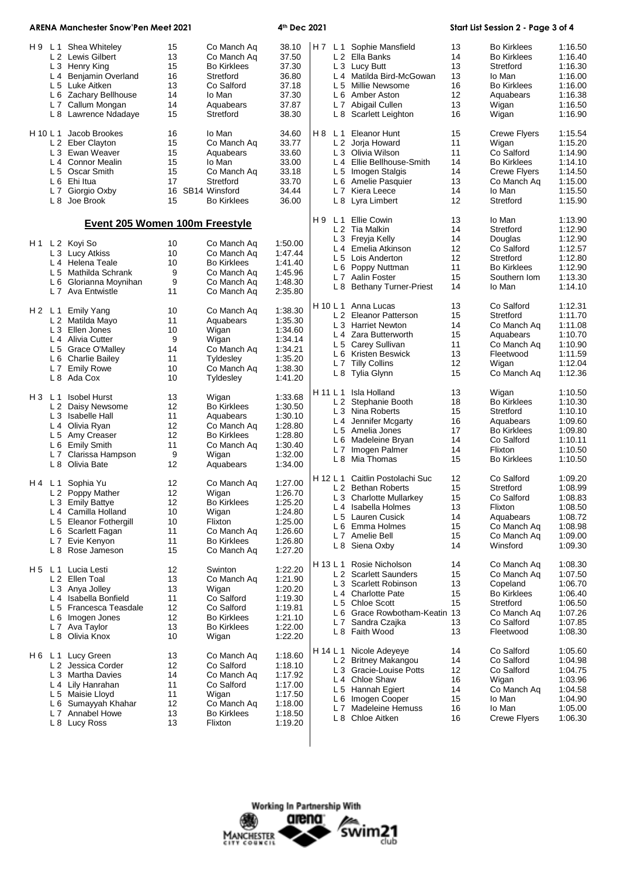| <b>ARENA Manchester Snow'Pen Meet 2021</b> |                                                                                                                                                                                                                          |                                                          |                                                                                                                                          | 4th Dec 2021                                                                           |  |          |                                                                                                                                                                                                                           | Start List Session 2 - Page 3 of 4                       |                                                                                                                                               |                                                                                                            |
|--------------------------------------------|--------------------------------------------------------------------------------------------------------------------------------------------------------------------------------------------------------------------------|----------------------------------------------------------|------------------------------------------------------------------------------------------------------------------------------------------|----------------------------------------------------------------------------------------|--|----------|---------------------------------------------------------------------------------------------------------------------------------------------------------------------------------------------------------------------------|----------------------------------------------------------|-----------------------------------------------------------------------------------------------------------------------------------------------|------------------------------------------------------------------------------------------------------------|
| H 9                                        | L 1 Shea Whiteley<br>L 2 Lewis Gilbert<br>L 3 Henry King<br>L 4 Benjamin Overland<br>L 5 Luke Aitken<br>L 6 Zachary Bellhouse<br>L 7 Callum Mongan<br>L 8 Lawrence Ndadaye<br>H 10 L 1 Jacob Brookes<br>L 2 Eber Clayton | 15<br>13<br>15<br>16<br>13<br>14<br>14<br>15<br>16<br>15 | Co Manch Aq<br>Co Manch Aq<br><b>Bo Kirklees</b><br>Stretford<br>Co Salford<br>lo Man<br>Aquabears<br>Stretford<br>lo Man<br>Co Manch Aq | 38.10<br>37.50<br>37.30<br>36.80<br>37.18<br>37.30<br>37.87<br>38.30<br>34.60<br>33.77 |  |          | H7 L1 Sophie Mansfield<br>L 2 Ella Banks<br>L 3 Lucy Butt<br>L 4 Matilda Bird-McGowan<br>L 5 Millie Newsome<br>L 6 Amber Aston<br>L 7 Abigail Cullen<br>L 8 Scarlett Leighton<br>H 8 L 1 Eleanor Hunt<br>L 2 Jorja Howard | 13<br>14<br>13<br>13<br>16<br>12<br>13<br>16<br>15<br>11 | <b>Bo Kirklees</b><br><b>Bo Kirklees</b><br>Stretford<br>lo Man<br><b>Bo Kirklees</b><br>Aquabears<br>Wigan<br>Wigan<br>Crewe Flyers<br>Wigan | 1:16.50<br>1:16.40<br>1:16.30<br>1:16.00<br>1:16.00<br>1:16.38<br>1:16.50<br>1:16.90<br>1:15.54<br>1:15.20 |
|                                            | L 3 Ewan Weaver<br>L 4 Connor Mealin<br>L 5 Oscar Smith<br>L 6 Ehi Itua<br>L 7 Giorgio Oxby<br>L 8 Joe Brook                                                                                                             | 15<br>15<br>15<br>17<br>16<br>15                         | Aquabears<br>lo Man<br>Co Manch Aq<br>Stretford<br>SB14 Winsford<br><b>Bo Kirklees</b>                                                   | 33.60<br>33.00<br>33.18<br>33.70<br>34.44<br>36.00                                     |  |          | L 3 Olivia Wilson<br>L 4 Ellie Bellhouse-Smith<br>L 5 Imogen Stalgis<br>L 6 Amelie Pasquier<br>L 7 Kiera Leece<br>L 8 Lyra Limbert                                                                                        | 11<br>14<br>14<br>13<br>14<br>12                         | Co Salford<br><b>Bo Kirklees</b><br><b>Crewe Flyers</b><br>Co Manch Aq<br>lo Man<br>Stretford                                                 | 1:14.90<br>1:14.10<br>1:14.50<br>1:15.00<br>1:15.50<br>1:15.90                                             |
|                                            | <b>Event 205 Women 100m Freestyle</b>                                                                                                                                                                                    |                                                          |                                                                                                                                          |                                                                                        |  |          | H 9 L 1 Ellie Cowin<br>L 2 Tia Malkin                                                                                                                                                                                     | 13<br>14                                                 | lo Man<br>Stretford                                                                                                                           | 1:13.90<br>1:12.90                                                                                         |
| H 1                                        | L 2 Koyi So<br>L 3 Lucy Atkiss<br>L 4 Helena Teale<br>L 5 Mathilda Schrank<br>L 6 Glorianna Moynihan<br>L 7 Ava Entwistle                                                                                                | 10<br>10<br>10<br>9<br>9<br>11                           | Co Manch Aq<br>Co Manch Aq<br><b>Bo Kirklees</b><br>Co Manch Aq<br>Co Manch Ag<br>Co Manch Ag                                            | 1:50.00<br>1.47.44<br>1:41.40<br>1:45.96<br>1:48.30<br>2:35.80                         |  |          | L 3 Freyja Kelly<br>L 4 Emelia Atkinson<br>L 5 Lois Anderton<br>L 6 Poppy Nuttman<br>L 7 Aalin Foster<br>L 8 Bethany Turner-Priest                                                                                        | 14<br>12<br>12<br>11<br>15<br>14                         | Douglas<br>Co Salford<br>Stretford<br><b>Bo Kirklees</b><br>Southern Iom<br>lo Man                                                            | 1:12.90<br>1:12.57<br>1:12.80<br>1:12.90<br>1:13.30<br>1:14.10                                             |
|                                            | H 2 L 1 Emily Yang<br>L 2 Matilda Mayo<br>L 3 Ellen Jones<br>L 4 Alivia Cutter<br>L 5 Grace O'Malley<br>L 6 Charlie Bailey<br>L 7 Emily Rowe<br>L 8 Ada Cox                                                              | 10<br>11<br>10<br>9<br>14<br>11<br>10<br>10              | Co Manch Aq<br>Aquabears<br>Wigan<br>Wigan<br>Co Manch Aq<br>Tyldesley<br>Co Manch Aq<br>Tyldesley                                       | 1:38.30<br>1:35.30<br>1:34.60<br>1:34.14<br>1:34.21<br>1:35.20<br>1:38.30<br>1:41.20   |  |          | H 10 L 1 Anna Lucas<br>L 2 Eleanor Patterson<br>L 3 Harriet Newton<br>L 4 Zara Butterworth<br>L 5 Carey Sullivan<br>L 6 Kristen Beswick<br>L 7 Tilly Collins<br>L 8 Tylia Glynn                                           | 13<br>15<br>14<br>15<br>11<br>13<br>12<br>15             | Co Salford<br>Stretford<br>Co Manch Aq<br>Aquabears<br>Co Manch Aq<br>Fleetwood<br>Wigan<br>Co Manch Aq                                       | 1:12.31<br>1:11.70<br>1:11.08<br>1:10.70<br>1:10.90<br>1:11.59<br>1:12.04<br>1:12.36                       |
| H3 L1                                      | <b>Isobel Hurst</b><br>L 2 Daisy Newsome<br>L 3 Isabelle Hall<br>L 4 Olivia Ryan<br>L 5 Amy Creaser<br>L 6 Emily Smith<br>L 7 Clarissa Hampson<br>L 8 Olivia Bate                                                        | 13<br>12<br>11<br>12<br>12<br>11<br>9<br>12              | Wigan<br><b>Bo Kirklees</b><br>Aquabears<br>Co Manch Aq<br><b>Bo Kirklees</b><br>Co Manch Aq<br>Wigan<br>Aquabears                       | 1:33.68<br>1:30.50<br>1:30.10<br>1:28.80<br>1:28.80<br>1:30.40<br>1:32.00<br>1:34.00   |  | L7       | H 11 L 1 Isla Holland<br>L 2 Stephanie Booth<br>L 3 Nina Roberts<br>L 4 Jennifer Mcgarty<br>L 5 Amelia Jones<br>L 6 Madeleine Bryan<br>Imogen Palmer<br>L 8 Mia Thomas                                                    | 13<br>18<br>15<br>16<br>17<br>14<br>14<br>15             | Wigan<br><b>Bo Kirklees</b><br>Stretford<br>Aquabears<br><b>Bo Kirklees</b><br>Co Salford<br>Flixton<br><b>Bo Kirklees</b>                    | 1:10.50<br>1:10.30<br>1:10.10<br>1:09.60<br>1:09.80<br>1:10.11<br>1:10.50<br>1:10.50                       |
|                                            | H4 L1 Sophia Yu<br>L 2 Poppy Mather<br>L 3 Emily Battye<br>L 4 Camilla Holland<br>L 5 Eleanor Fothergill<br>L 6 Scarlett Fagan<br>L 7 Evie Kenyon<br>L 8 Rose Jameson                                                    | 12<br>12<br>12<br>10<br>10<br>11<br>11<br>15             | Co Manch Aq<br>Wigan<br><b>Bo Kirklees</b><br>Wigan<br>Flixton<br>Co Manch Aq<br><b>Bo Kirklees</b><br>Co Manch Aq                       | 1:27.00<br>1:26.70<br>1:25.20<br>1:24.80<br>1:25.00<br>1:26.60<br>1:26.80<br>1:27.20   |  |          | H 12 L 1 Caitlin Postolachi Suc<br>L 2 Bethan Roberts<br>L 3 Charlotte Mullarkey<br>L 4 Isabella Holmes<br>L 5 Lauren Cusick<br>L 6 Emma Holmes<br>L 7 Amelie Bell<br>L 8 Siena Oxby                                      | 12<br>15<br>15<br>13<br>14<br>15<br>15<br>14             | Co Salford<br>Stretford<br>Co Salford<br>Flixton<br>Aquabears<br>Co Manch Aq<br>Co Manch Aq<br>Winsford                                       | 1:09.20<br>1:08.99<br>1:08.83<br>1:08.50<br>1:08.72<br>1:08.98<br>1:09.00<br>1:09.30                       |
| H5 L1                                      | Lucia Lesti<br>L 2 Ellen Toal<br>L 3 Anya Jolley<br>L 4 Isabella Bonfield<br>L 5 Francesca Teasdale<br>L 6 Imogen Jones<br>L 7 Ava Taylor<br>L 8 Olivia Knox                                                             | 12<br>13<br>13<br>11<br>12<br>12<br>13<br>10             | Swinton<br>Co Manch Aq<br>Wigan<br>Co Salford<br>Co Salford<br><b>Bo Kirklees</b><br><b>Bo Kirklees</b><br>Wigan                         | 1:22.20<br>1:21.90<br>1:20.20<br>1:19.30<br>1:19.81<br>1:21.10<br>1:22.00<br>1:22.20   |  | H 13 L 1 | Rosie Nicholson<br>L 2 Scarlett Saunders<br>L 3 Scarlett Robinson<br>L 4 Charlotte Pate<br>L 5 Chloe Scott<br>L 6 Grace Rowbotham-Keatin 13<br>L 7 Sandra Czajka<br>L 8 Faith Wood                                        | 14<br>15<br>13<br>15<br>15<br>13<br>13                   | Co Manch Ag<br>Co Manch Aq<br>Copeland<br><b>Bo Kirklees</b><br>Stretford<br>Co Manch Aq<br>Co Salford<br>Fleetwood                           | 1:08.30<br>1:07.50<br>1:06.70<br>1:06.40<br>1:06.50<br>1:07.26<br>1:07.85<br>1:08.30                       |
| H6 L1                                      | Lucy Green<br>L 2 Jessica Corder<br>L 3 Martha Davies<br>L 4 Lily Hanrahan<br>L 5 Maisie Lloyd<br>L 6 Sumayyah Khahar<br>L 7 Annabel Howe<br>L 8 Lucy Ross                                                               | 13<br>12<br>14<br>11<br>11<br>12<br>13<br>13             | Co Manch Aq<br>Co Salford<br>Co Manch Aq<br>Co Salford<br>Wigan<br>Co Manch Aq<br><b>Bo Kirklees</b><br>Flixton                          | 1:18.60<br>1:18.10<br>1:17.92<br>1:17.00<br>1:17.50<br>1:18.00<br>1:18.50<br>1:19.20   |  |          | H 14 L 1 Nicole Adeyeye<br>L 2 Britney Makangou<br>L 3 Gracie-Louise Potts<br>L <sub>4</sub> Chloe Shaw<br>L 5 Hannah Egiert<br>L 6 Imogen Cooper<br>L 7 Madeleine Hemuss<br>L 8 Chloe Aitken                             | 14<br>14<br>12<br>16<br>14<br>15<br>16<br>16             | Co Salford<br>Co Salford<br>Co Salford<br>Wigan<br>Co Manch Aq<br>lo Man<br>lo Man<br>Crewe Flyers                                            | 1:05.60<br>1:04.98<br>1:04.75<br>1:03.96<br>1:04.58<br>1:04.90<br>1:05.00<br>1:06.30                       |
|                                            |                                                                                                                                                                                                                          |                                                          |                                                                                                                                          |                                                                                        |  |          |                                                                                                                                                                                                                           |                                                          |                                                                                                                                               |                                                                                                            |